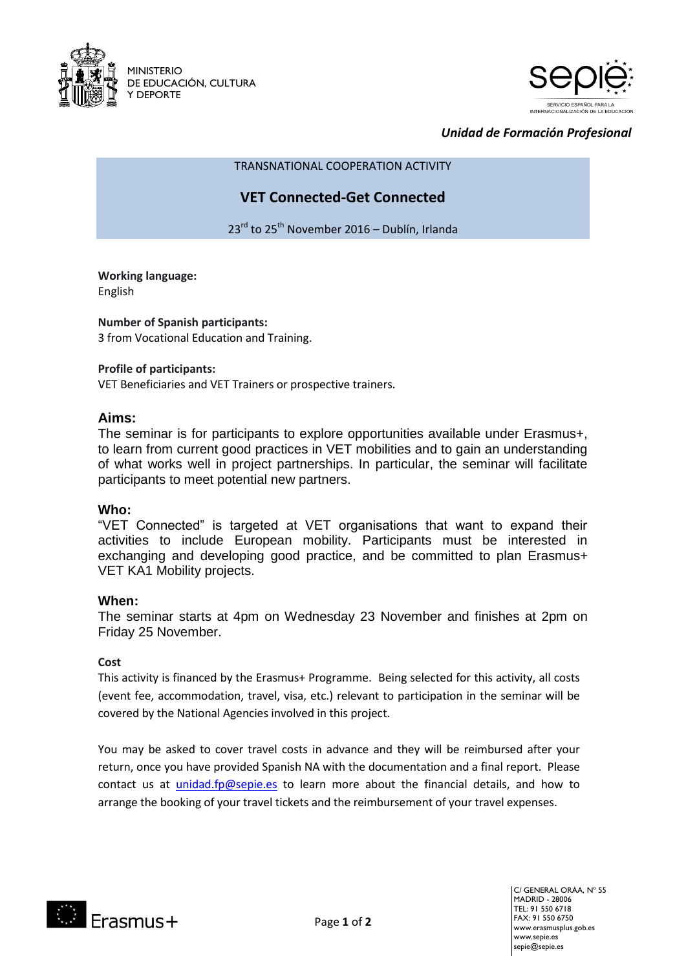



## *Unidad de Formación Profesional*

TRANSNATIONAL COOPERATION ACTIVITY

## **VET Connected-Get Connected**

23<sup>rd</sup> to 25<sup>th</sup> November 2016 – Dublín, Irlanda

# **Working language:**

English

## **Number of Spanish participants:**

3 from Vocational Education and Training.

## **Profile of participants:**

VET Beneficiaries and VET Trainers or prospective trainers**.**

## **Aims:**

The seminar is for participants to explore opportunities available under Erasmus+, to learn from current good practices in VET mobilities and to gain an understanding of what works well in project partnerships. In particular, the seminar will facilitate participants to meet potential new partners.

## **Who:**

"VET Connected" is targeted at VET organisations that want to expand their activities to include European mobility. Participants must be interested in exchanging and developing good practice, and be committed to plan Erasmus+ VET KA1 Mobility projects.

## **When:**

The seminar starts at 4pm on Wednesday 23 November and finishes at 2pm on Friday 25 November.

## **Cost**

This activity is financed by the Erasmus+ Programme. Being selected for this activity, all costs (event fee, accommodation, travel, visa, etc.) relevant to participation in the seminar will be covered by the National Agencies involved in this project.

You may be asked to cover travel costs in advance and they will be reimbursed after your return, once you have provided Spanish NA with the documentation and a final report. Please contact us at [unidad.fp@sepie.es](mailto:unidad.fp@sepie.es) to learn more about the financial details, and how to arrange the booking of your travel tickets and the reimbursement of your travel expenses.